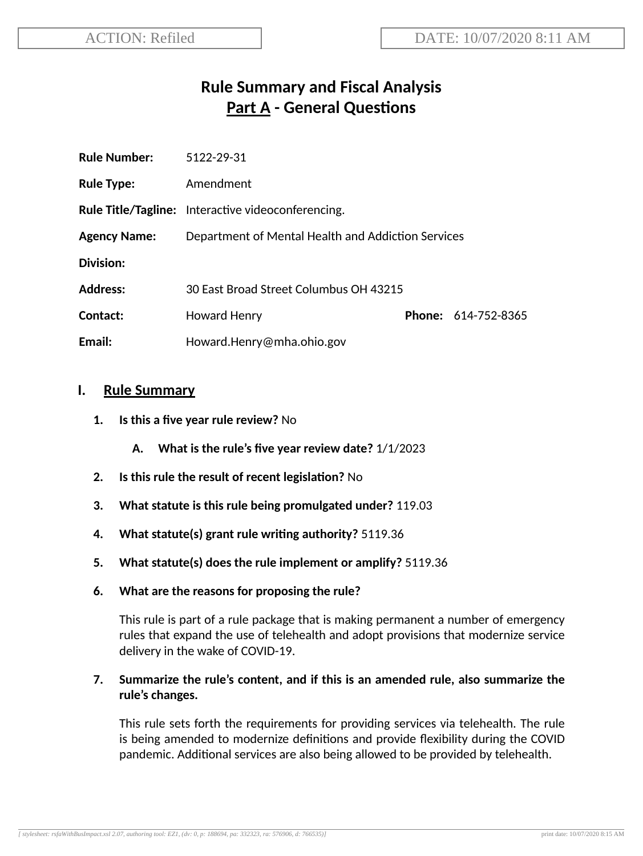# **Rule Summary and Fiscal Analysis Part A - General Questions**

| <b>Rule Number:</b> | 5122-29-31                                                |  |                     |
|---------------------|-----------------------------------------------------------|--|---------------------|
| <b>Rule Type:</b>   | Amendment                                                 |  |                     |
|                     | <b>Rule Title/Tagline:</b> Interactive videoconferencing. |  |                     |
| <b>Agency Name:</b> | Department of Mental Health and Addiction Services        |  |                     |
| Division:           |                                                           |  |                     |
| <b>Address:</b>     | 30 East Broad Street Columbus OH 43215                    |  |                     |
| Contact:            | <b>Howard Henry</b>                                       |  | Phone: 614-752-8365 |
| Email:              | Howard.Henry@mha.ohio.gov                                 |  |                     |

#### **I. Rule Summary**

- **1. Is this a five year rule review?** No
	- **A. What is the rule's five year review date?** 1/1/2023
- **2.** Is this rule the result of recent legislation? No
- **3. What statute is this rule being promulgated under?** 119.03
- **4. What statute(s) grant rule wring authority?** 5119.36
- **5. What statute(s) does the rule implement or amplify?** 5119.36
- **6. What are the reasons for proposing the rule?**

This rule is part of a rule package that is making permanent a number of emergency rules that expand the use of telehealth and adopt provisions that modernize service delivery in the wake of COVID-19.

#### **7. Summarize the rule's content, and if this is an amended rule, also summarize the rule's changes.**

This rule sets forth the requirements for providing services via telehealth. The rule is being amended to modernize definitions and provide flexibility during the COVID pandemic. Additional services are also being allowed to be provided by telehealth.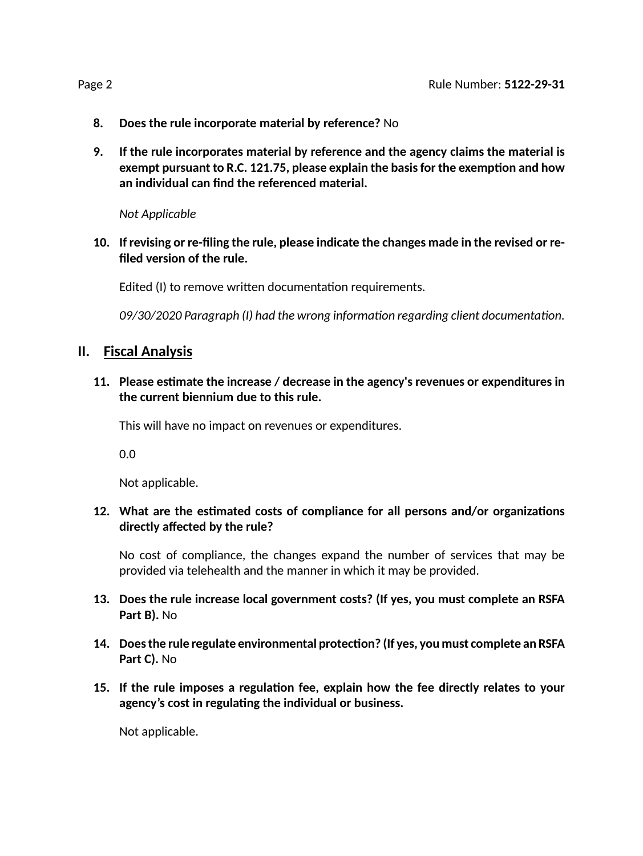- **8. Does the rule incorporate material by reference?** No
- **9. If the rule incorporates material by reference and the agency claims the material is exempt pursuant to R.C. 121.75, please explain the basisfor the exempon and how an individual can find the referenced material.**

*Not Applicable*

**10. If revising or re-filing the rule, please indicate the changes made in the revised or refiled version of the rule.**

Edited (I) to remove written documentation requirements.

09/30/2020 Paragraph (I) had the wrong information regarding client documentation.

#### **II. Fiscal Analysis**

#### **11. Please esmate the increase / decrease in the agency's revenues or expenditures in the current biennium due to this rule.**

This will have no impact on revenues or expenditures.

0.0

Not applicable.

#### 12. What are the estimated costs of compliance for all persons and/or organizations **directly affected by the rule?**

No cost of compliance, the changes expand the number of services that may be provided via telehealth and the manner in which it may be provided.

- **13. Does the rule increase local government costs? (If yes, you must complete an RSFA Part B).** No
- **14. Doesthe rule regulate environmental protecon? (If yes, you must complete an RSFA Part C).** No
- **15. If the rule imposes a regulaon fee, explain how the fee directly relates to your agency's cost in regulang the individual or business.**

Not applicable.